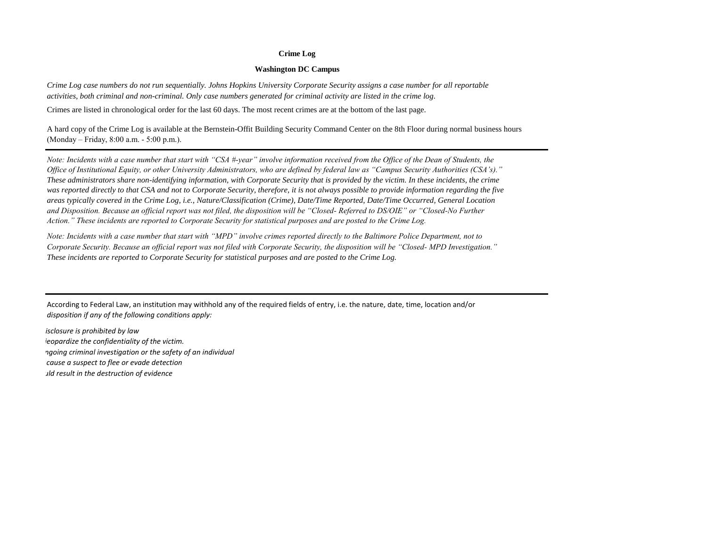## **Crime Log**

## **Washington DC Campus**

*Crime Log case numbers do not run sequentially. Johns Hopkins University Corporate Security assigns a case number for all reportable activities, both criminal and non-criminal. Only case numbers generated for criminal activity are listed in the crime log.*

Crimes are listed in chronological order for the last 60 days. The most recent crimes are at the bottom of the last page.

A hard copy of the Crime Log is available at the Bernstein-Offit Building Security Command Center on the 8th Floor during normal business hours (Monday – Friday, 8:00 a.m. - 5:00 p.m.).

*Note: Incidents with a case number that start with "CSA #-year" involve information received from the Office of the Dean of Students, the Office of Institutional Equity, or other University Administrators, who are defined by federal law as "Campus Security Authorities (CSA's)." These administrators share non-identifying information, with Corporate Security that is provided by the victim. In these incidents, the crime was reported directly to that CSA and not to Corporate Security, therefore, it is not always possible to provide information regarding the five areas typically covered in the Crime Log, i.e., Nature/Classification (Crime), Date/Time Reported, Date/Time Occurred, General Location and Disposition. Because an official report was not filed, the disposition will be "Closed- Referred to DS/OIE" or "Closed-No Further Action." These incidents are reported to Corporate Security for statistical purposes and are posted to the Crime Log.*

*Note: Incidents with a case number that start with "MPD" involve crimes reported directly to the Baltimore Police Department, not to These incidents are reported to Corporate Security for statistical purposes and are posted to the Crime Log. Corporate Security. Because an official report was not filed with Corporate Security, the disposition will be "Closed- MPD Investigation."*

According to Federal Law, an institution may withhold any of the required fields of entry, i.e. the nature, date, time, location and/or *disposition if any of the following conditions apply:* 

*isclosure is prohibited by law ieopardize the confidentiality of the victim. If disclosure would jeopardize an ongoing criminal investigation or the safety of an individual If disclosure would cause a suspect to flee or evade detection If disclosure would result in the destruction of evidence*